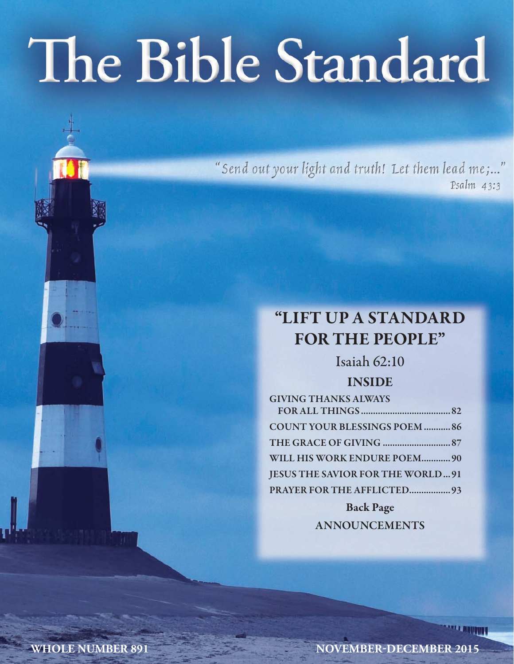# The Bible Standard

"Send out your light and truth! Let them lead me;..." Psalm 43:3

## **"LIFT UP A STANDARD FOR THE PEOPLE"**

Isaiah 62:10

## **INSIDE**

| <b>GIVING THANKS ALWAYS</b>             |  |
|-----------------------------------------|--|
|                                         |  |
| <b>COUNT YOUR BLESSINGS POEM  86</b>    |  |
|                                         |  |
| WILL HIS WORK ENDURE POEM 90            |  |
| <b>JESUS THE SAVIOR FOR THE WORLD91</b> |  |
| PRAYER FOR THE AFFLICTED 93             |  |
| <b>Back Page</b>                        |  |

**ANNOUNCEMENTS**

**WHOLE NUMBER 891 NOVEMBER-DECEMBER 2015**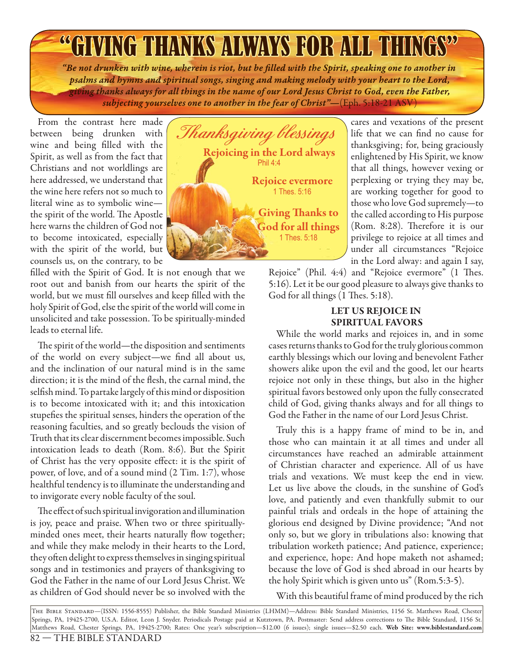# **"GIVING THANKS ALWAYS FOR ALL THING**

*"Be not drunken with wine, wherein is riot, but be fi lled with the Spirit, speaking one to another in psalms and hymns and spiritual songs, singing and making melody with your heart to the Lord, giving thanks always for all things in the name of our Lord Jesus Christ to God, even the Father, subjecting yourselves one to another in the fear of Christ"—*(Eph. 5:18-21 ASV)

From the contrast here made between being drunken with wine and being filled with the Spirit, as well as from the fact that Christians and not worldlings are here addressed, we understand that the wine here refers not so much to literal wine as to symbolic wine the spirit of the world. The Apostle here warns the children of God not to become intoxicated, especially with the spirit of the world, but counsels us, on the contrary, to be

filled with the Spirit of God. It is not enough that we root out and banish from our hearts the spirit of the world, but we must fill ourselves and keep filled with the holy Spirit of God, else the spirit of the world will come in unsolicited and take possession. To be spiritually-minded leads to eternal life.

The spirit of the world—the disposition and sentiments of the world on every subject—we find all about us, and the inclination of our natural mind is in the same direction; it is the mind of the flesh, the carnal mind, the selfish mind. To partake largely of this mind or disposition is to become intoxicated with it; and this intoxication stupefies the spiritual senses, hinders the operation of the reasoning faculties, and so greatly beclouds the vision of Truth that its clear discernment becomes impossible. Such intoxication leads to death (Rom. 8:6). But the Spirit of Christ has the very opposite effect: it is the spirit of power, of love, and of a sound mind (2 Tim. 1:7), whose healthful tendency is to illuminate the understanding and to invigorate every noble faculty of the soul.

The effect of such spiritual invigoration and illumination is joy, peace and praise. When two or three spirituallyminded ones meet, their hearts naturally flow together; and while they make melody in their hearts to the Lord, they often delight to express themselves in singing spiritual songs and in testimonies and prayers of thanksgiving to God the Father in the name of our Lord Jesus Christ. We as children of God should never be so involved with the



cares and vexations of the present life that we can find no cause for thanksgiving; for, being graciously enlightened by His Spirit, we know that all things, however vexing or perplexing or trying they may be, are working together for good to those who love God supremely—to the called according to His purpose (Rom. 8:28). Therefore it is our privilege to rejoice at all times and under all circumstances "Rejoice in the Lord alway: and again I say,

Rejoice" (Phil. 4:4) and "Rejoice evermore" (1 Thes. 5:16). Let it be our good pleasure to always give thanks to God for all things (1 Thes. 5:18).

#### **LET US REJOICE IN SPIRITUAL FAVORS**

While the world marks and rejoices in, and in some cases returns thanks to God for the truly glorious common earthly blessings which our loving and benevolent Father showers alike upon the evil and the good, let our hearts rejoice not only in these things, but also in the higher spiritual favors bestowed only upon the fully consecrated child of God, giving thanks always and for all things to God the Father in the name of our Lord Jesus Christ.

Truly this is a happy frame of mind to be in, and those who can maintain it at all times and under all circumstances have reached an admirable attainment of Christian character and experience. All of us have trials and vexations. We must keep the end in view. Let us live above the clouds, in the sunshine of God's love, and patiently and even thankfully submit to our painful trials and ordeals in the hope of attaining the glorious end designed by Divine providence; "And not only so, but we glory in tribulations also: knowing that tribulation worketh patience; And patience, experience; and experience, hope: And hope maketh not ashamed; because the love of God is shed abroad in our hearts by the holy Spirit which is given unto us" (Rom.5:3-5).

With this beautiful frame of mind produced by the rich

The Bible Standard—(ISSN: 1556-8555) Publisher, the Bible Standard Ministries (LHMM)—Address: Bible Standard Ministries, 1156 St. Matthews Road, Chester Springs, PA, 19425-2700, U.S.A. Editor, Leon J. Snyder. Periodicals Postage paid at Kutztown, PA. Postmaster: Send address corrections to The Bible Standard, 1156 St. Matthews Road, Chester Springs, PA, 19425-2700; Rates: One year's subscription—\$12.00 (6 issues); single issues—\$2.50 each. **Web Site: www.biblestandard.com**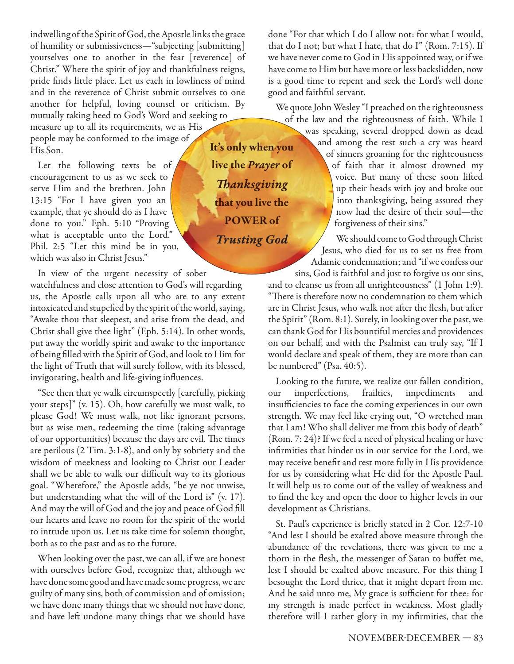indwelling of the Spirit of God, the Apostle links the grace of humility or submissiveness—"subjecting [submitting] yourselves one to another in the fear [reverence] of Christ." Where the spirit of joy and thankfulness reigns, pride finds little place. Let us each in lowliness of mind and in the reverence of Christ submit ourselves to one another for helpful, loving counsel or criticism. By mutually taking heed to God's Word and seeking to

measure up to all its requirements, we as His people may be conformed to the image of His Son.

Let the following texts be of encouragement to us as we seek to serve Him and the brethren. John 13:15 "For I have given you an example, that ye should do as I have done to you." Eph. 5:10 "Proving what is acceptable unto the Lord." Phil. 2:5 "Let this mind be in you, which was also in Christ Jesus."

In view of the urgent necessity of sober

watchfulness and close attention to God's will regarding us, the Apostle calls upon all who are to any extent intoxicated and stupefied by the spirit of the world, saying, "Awake thou that sleepest, and arise from the dead, and Christ shall give thee light" (Eph. 5:14). In other words, put away the worldly spirit and awake to the importance of being filled with the Spirit of God, and look to Him for the light of Truth that will surely follow, with its blessed, invigorating, health and life-giving influences.

"See then that ye walk circumspectly [carefully, picking your steps]" (v. 15). Oh, how carefully we must walk, to please God! We must walk, not like ignorant persons, but as wise men, redeeming the time (taking advantage of our opportunities) because the days are evil. The times are perilous (2 Tim. 3:1-8), and only by sobriety and the wisdom of meekness and looking to Christ our Leader shall we be able to walk our difficult way to its glorious goal. "Wherefore," the Apostle adds, "be ye not unwise, but understanding what the will of the Lord is" (v. 17). And may the will of God and the joy and peace of God fill our hearts and leave no room for the spirit of the world to intrude upon us. Let us take time for solemn thought, both as to the past and as to the future.

When looking over the past, we can all, if we are honest with ourselves before God, recognize that, although we have done some good and have made some progress, we are guilty of many sins, both of commission and of omission; we have done many things that we should not have done, and have left undone many things that we should have

**It's only when you live the** *Prayer* **of** *Th anksgiving* **that you live the POWER of**

*Trusting God*

done "For that which I do I allow not: for what I would, that do I not; but what I hate, that do I" (Rom. 7:15). If we have never come to God in His appointed way, or if we have come to Him but have more or less backslidden, now is a good time to repent and seek the Lord's well done good and faithful servant.

We quote John Wesley "I preached on the righteousness of the law and the righteousness of faith. While I

was speaking, several dropped down as dead and among the rest such a cry was heard of sinners groaning for the righteousness of faith that it almost drowned my voice. But many of these soon lifted up their heads with joy and broke out into thanksgiving, being assured they now had the desire of their soul—the forgiveness of their sins."

We should come to God through Christ Jesus, who died for us to set us free from Adamic condemnation; and "if we confess our sins, God is faithful and just to forgive us our sins,

and to cleanse us from all unrighteousness" (1 John 1:9). "There is therefore now no condemnation to them which are in Christ Jesus, who walk not after the flesh, but after the Spirit" (Rom. 8:1). Surely, in looking over the past, we can thank God for His bountiful mercies and providences on our behalf, and with the Psalmist can truly say, "If I would declare and speak of them, they are more than can be numbered" (Psa. 40:5).

Looking to the future, we realize our fallen condition, our imperfections, frailties, impediments and insufficiencies to face the coming experiences in our own strength. We may feel like crying out, "O wretched man that I am! Who shall deliver me from this body of death" (Rom. 7: 24)? If we feel a need of physical healing or have infirmities that hinder us in our service for the Lord, we may receive benefit and rest more fully in His providence for us by considering what He did for the Apostle Paul. It will help us to come out of the valley of weakness and to find the key and open the door to higher levels in our development as Christians.

St. Paul's experience is briefly stated in 2 Cor. 12:7-10 "And lest I should be exalted above measure through the abundance of the revelations, there was given to me a thorn in the flesh, the messenger of Satan to buffet me, lest I should be exalted above measure. For this thing I besought the Lord thrice, that it might depart from me. And he said unto me, My grace is sufficient for thee: for my strength is made perfect in weakness. Most gladly therefore will I rather glory in my infirmities, that the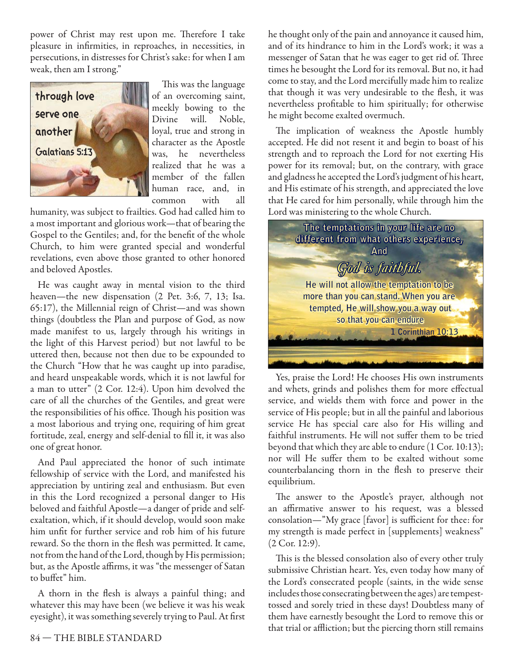power of Christ may rest upon me. Therefore I take pleasure in infirmities, in reproaches, in necessities, in persecutions, in distresses for Christ's sake: for when I am weak, then am I strong."



This was the language of an overcoming saint, meekly bowing to the Divine will. Noble, loyal, true and strong in character as the Apostle was, he nevertheless realized that he was a member of the fallen human race, and, in common with all

humanity, was subject to frailties. God had called him to a most important and glorious work—that of bearing the Gospel to the Gentiles; and, for the benefit of the whole Church, to him were granted special and wonderful revelations, even above those granted to other honored and beloved Apostles.

He was caught away in mental vision to the third heaven—the new dispensation (2 Pet. 3:6, 7, 13; Isa. 65:17), the Millennial reign of Christ—and was shown things (doubtless the Plan and purpose of God, as now made manifest to us, largely through his writings in the light of this Harvest period) but not lawful to be uttered then, because not then due to be expounded to the Church "How that he was caught up into paradise, and heard unspeakable words, which it is not lawful for a man to utter" (2 Cor. 12:4). Upon him devolved the care of all the churches of the Gentiles, and great were the responsibilities of his office. Though his position was a most laborious and trying one, requiring of him great fortitude, zeal, energy and self-denial to fill it, it was also one of great honor.

And Paul appreciated the honor of such intimate fellowship of service with the Lord, and manifested his appreciation by untiring zeal and enthusiasm. But even in this the Lord recognized a personal danger to His beloved and faithful Apostle—a danger of pride and selfexaltation, which, if it should develop, would soon make him unfit for further service and rob him of his future reward. So the thorn in the flesh was permitted. It came, not from the hand of the Lord, though by His permission; but, as the Apostle affirms, it was "the messenger of Satan to buffet" him.

A thorn in the flesh is always a painful thing; and whatever this may have been (we believe it was his weak eyesight), it was something severely trying to Paul. At first

he thought only of the pain and annoyance it caused him, and of its hindrance to him in the Lord's work; it was a messenger of Satan that he was eager to get rid of. Three times he besought the Lord for its removal. But no, it had come to stay, and the Lord mercifully made him to realize that though it was very undesirable to the flesh, it was nevertheless profitable to him spiritually; for otherwise he might become exalted overmuch.

The implication of weakness the Apostle humbly accepted. He did not resent it and begin to boast of his strength and to reproach the Lord for not exerting His power for its removal; but, on the contrary, with grace and gladness he accepted the Lord's judgment of his heart, and His estimate of his strength, and appreciated the love that He cared for him personally, while through him the Lord was ministering to the whole Church.



Yes, praise the Lord! He chooses His own instruments and whets, grinds and polishes them for more effectual service, and wields them with force and power in the service of His people; but in all the painful and laborious service He has special care also for His willing and faithful instruments. He will not suffer them to be tried beyond that which they are able to endure (1 Cor. 10:13); nor will He suffer them to be exalted without some counterbalancing thorn in the flesh to preserve their equilibrium.

The answer to the Apostle's prayer, although not an affirmative answer to his request, was a blessed consolation—"My grace [favor] is sufficient for thee: for my strength is made perfect in [supplements] weakness" (2 Cor. 12:9).

This is the blessed consolation also of every other truly submissive Christian heart. Yes, even today how many of the Lord's consecrated people (saints, in the wide sense includes those consecrating between the ages) are tempesttossed and sorely tried in these days! Doubtless many of them have earnestly besought the Lord to remove this or that trial or affliction; but the piercing thorn still remains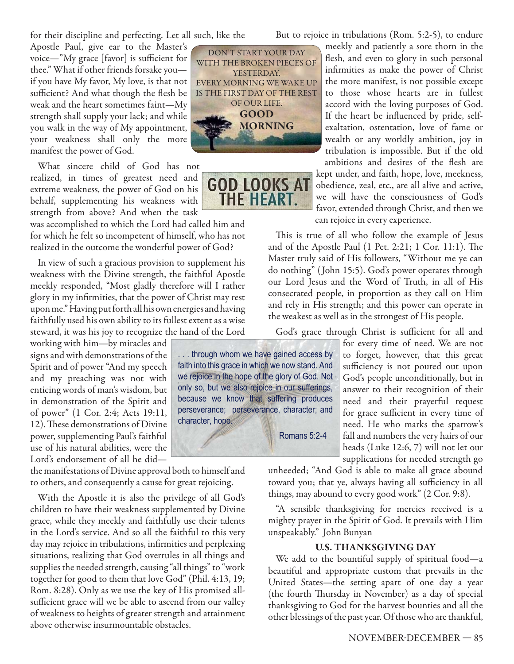for their discipline and perfecting. Let all such, like the

Apostle Paul, give ear to the Master's voice—"My grace  $[$  favor $]$  is sufficient for thee." What if other friends forsake you if you have My favor, My love, is that not sufficient? And what though the flesh be weak and the heart sometimes faint—My strength shall supply your lack; and while you walk in the way of My appointment, your weakness shall only the more manifest the power of God.

What sincere child of God has not realized, in times of greatest need and extreme weakness, the power of God on his behalf, supplementing his weakness with strength from above? And when the task

was accomplished to which the Lord had called him and for which he felt so incompetent of himself, who has not realized in the outcome the wonderful power of God?

In view of such a gracious provision to supplement his weakness with the Divine strength, the faithful Apostle meekly responded, "Most gladly therefore will I rather glory in my infirmities, that the power of Christ may rest upon me." Having put forth all his own energies and having faithfully used his own ability to its fullest extent as a wise steward, it was his joy to recognize the hand of the Lord

working with him—by miracles and signs and with demonstrations of the Spirit and of power "And my speech and my preaching was not with enticing words of man's wisdom, but in demonstration of the Spirit and of power" (1 Cor. 2:4; Acts 19:11, 12). These demonstrations of Divine power, supplementing Paul's faithful use of his natural abilities, were the Lord's endorsement of all he did—

the manifestations of Divine approval both to himself and to others, and consequently a cause for great rejoicing.

With the Apostle it is also the privilege of all God's children to have their weakness supplemented by Divine grace, while they meekly and faithfully use their talents in the Lord's service. And so all the faithful to this very day may rejoice in tribulations, infirmities and perplexing situations, realizing that God overrules in all things and supplies the needed strength, causing "all things" to "work together for good to them that love God" (Phil. 4:13, 19; Rom. 8:28). Only as we use the key of His promised allsufficient grace will we be able to ascend from our valley of weakness to heights of greater strength and attainment above otherwise insurmountable obstacles.



**GOD LOOKS AT THE HEART.** 

But to rejoice in tribulations (Rom. 5:2-5), to endure

meekly and patiently a sore thorn in the flesh, and even to glory in such personal infirmities as make the power of Christ the more manifest, is not possible except to those whose hearts are in fullest accord with the loving purposes of God. If the heart be influenced by pride, selfexaltation, ostentation, love of fame or wealth or any worldly ambition, joy in tribulation is impossible. But if the old ambitions and desires of the flesh are kept under, and faith, hope, love, meekness, obedience, zeal, etc., are all alive and active, we will have the consciousness of God's favor, extended through Christ, and then we can rejoice in every experience.

This is true of all who follow the example of Jesus and of the Apostle Paul  $(1$  Pet. 2:21; 1 Cor. 11:1). The Master truly said of His followers, "Without me ye can do nothing" ( John 15:5). God's power operates through our Lord Jesus and the Word of Truth, in all of His consecrated people, in proportion as they call on Him and rely in His strength; and this power can operate in the weakest as well as in the strongest of His people.

God's grace through Christ is sufficient for all and

... through whom we have gained access by faith into this grace in which we now stand. And we rejoice in the hope of the glory of God. Not only so, but we also rejoice in our sufferings, because we know that suffering produces perseverance; perseverance, character; and character, hope.

Romans 5:2-4

for every time of need. We are not to forget, however, that this great sufficiency is not poured out upon God's people unconditionally, but in answer to their recognition of their need and their prayerful request for grace sufficient in every time of need. He who marks the sparrow's fall and numbers the very hairs of our heads (Luke 12:6, 7) will not let our supplications for needed strength go

unheeded; "And God is able to make all grace abound toward you; that ye, always having all sufficiency in all things, may abound to every good work" (2 Cor. 9:8).

"A sensible thanksgiving for mercies received is a mighty prayer in the Spirit of God. It prevails with Him unspeakably." John Bunyan

#### **U.S. THANKSGIVING DAY**

We add to the bountiful supply of spiritual food—a beautiful and appropriate custom that prevails in the United States—the setting apart of one day a year (the fourth Thursday in November) as a day of special thanksgiving to God for the harvest bounties and all the other blessings of the past year. Of those who are thankful,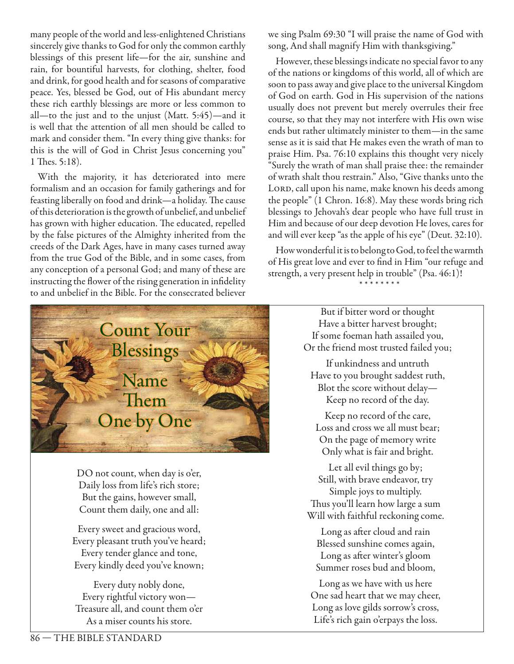many people of the world and less-enlightened Christians sincerely give thanks to God for only the common earthly blessings of this present life—for the air, sunshine and rain, for bountiful harvests, for clothing, shelter, food and drink, for good health and for seasons of comparative peace. Yes, blessed be God, out of His abundant mercy these rich earthly blessings are more or less common to all—to the just and to the unjust (Matt. 5:45)—and it is well that the attention of all men should be called to mark and consider them. "In every thing give thanks: for this is the will of God in Christ Jesus concerning you" 1 Thes. 5:18).

With the majority, it has deteriorated into mere formalism and an occasion for family gatherings and for feasting liberally on food and drink—a holiday. The cause of this deterioration is the growth of unbelief, and unbelief has grown with higher education. The educated, repelled by the false pictures of the Almighty inherited from the creeds of the Dark Ages, have in many cases turned away from the true God of the Bible, and in some cases, from any conception of a personal God; and many of these are instructing the flower of the rising generation in infidelity to and unbelief in the Bible. For the consecrated believer



DO not count, when day is o'er, Daily loss from life's rich store; But the gains, however small, Count them daily, one and all:

Every sweet and gracious word, Every pleasant truth you've heard; Every tender glance and tone, Every kindly deed you've known;

Every duty nobly done, Every rightful victory won— Treasure all, and count them o'er As a miser counts his store.

we sing Psalm 69:30 "I will praise the name of God with song, And shall magnify Him with thanksgiving."

However, these blessings indicate no special favor to any of the nations or kingdoms of this world, all of which are soon to pass away and give place to the universal Kingdom of God on earth. God in His supervision of the nations usually does not prevent but merely overrules their free course, so that they may not interfere with His own wise ends but rather ultimately minister to them—in the same sense as it is said that He makes even the wrath of man to praise Him. Psa. 76:10 explains this thought very nicely "Surely the wrath of man shall praise thee: the remainder of wrath shalt thou restrain." Also, "Give thanks unto the LORD, call upon his name, make known his deeds among the people" (1 Chron. 16:8). May these words bring rich blessings to Jehovah's dear people who have full trust in Him and because of our deep devotion He loves, cares for and will ever keep "as the apple of his eye" (Deut. 32:10).

How wonderful it is to belong to God, to feel the warmth of His great love and ever to find in Him "our refuge and strength, a very present help in trouble" (Psa. 46:1)! \* \* \* \* \* \* \* \*

> But if bitter word or thought Have a bitter harvest brought; If some foeman hath assailed you, Or the friend most trusted failed you;

If unkindness and untruth Have to you brought saddest ruth, Blot the score without delay— Keep no record of the day.

Keep no record of the care, Loss and cross we all must bear; On the page of memory write Only what is fair and bright.

Let all evil things go by; Still, with brave endeavor, try Simple joys to multiply. Thus you'll learn how large a sum Will with faithful reckoning come.

Long as after cloud and rain Blessed sunshine comes again, Long as after winter's gloom Summer roses bud and bloom,

Long as we have with us here One sad heart that we may cheer, Long as love gilds sorrow's cross, Life's rich gain o'erpays the loss.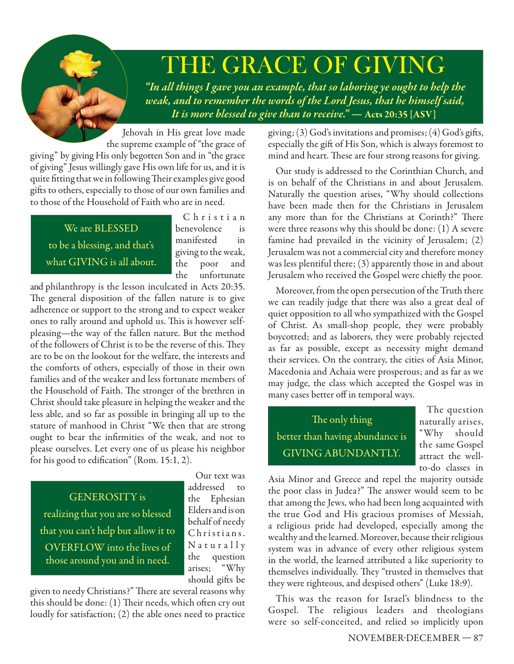# THE GRACE OF GIVING

*"In all things I gave you an example, that so laboring ye ought to help the weak, and to remember the words of the Lord Jesus, that he himself said, It is more blessed to give than to receive." —* **Acts 20:35 [ASV]**

Jehovah in His great love made the supreme example of "the grace of giving" by giving His only begotten Son and in "the grace of giving" Jesus willingly gave His own life for us, and it is quite fitting that we in following Their examples give good gifts to others, especially to those of our own families and to those of the Household of Faith who are in need.

We are BLESSED to be a blessing, and that's what GIVING is all about.

C h r i s t i a n benevolence is manifested in giving to the weak, the poor and the unfortunate

and philanthropy is the lesson inculcated in Acts 20:35. The general disposition of the fallen nature is to give adherence or support to the strong and to expect weaker ones to rally around and uphold us. This is however selfpleasing—the way of the fallen nature. But the method of the followers of Christ is to be the reverse of this. They are to be on the lookout for the welfare, the interests and the comforts of others, especially of those in their own families and of the weaker and less fortunate members of the Household of Faith. The stronger of the brethren in Christ should take pleasure in helping the weaker and the less able, and so far as possible in bringing all up to the stature of manhood in Christ "We then that are strong ought to bear the infirmities of the weak, and not to please ourselves. Let every one of us please his neighbor for his good to edification" (Rom.  $15:1, 2$ ).

GENEROSITY is realizing that you are so blessed that you can't help but allow it to OVERFLOW into the lives of those around you and in need.

Our text was addressed to the Ephesian Elders and is on behalf of needy Christians. Naturally the question arises; "Why should gifts be

given to needy Christians?" There are several reasons why this should be done:  $(1)$  Their needs, which often cry out loudly for satisfaction; (2) the able ones need to practice

giving; (3) God's invitations and promises; (4) God's gifts, especially the gift of His Son, which is always foremost to mind and heart. These are four strong reasons for giving.

Our study is addressed to the Corinthian Church, and is on behalf of the Christians in and about Jerusalem. Naturally the question arises, "Why should collections have been made then for the Christians in Jerusalem any more than for the Christians at Corinth?" There were three reasons why this should be done: (1) A severe famine had prevailed in the vicinity of Jerusalem; (2) Jerusalem was not a commercial city and therefore money was less plentiful there; (3) apparently those in and about Jerusalem who received the Gospel were chiefly the poor.

Moreover, from the open persecution of the Truth there we can readily judge that there was also a great deal of quiet opposition to all who sympathized with the Gospel of Christ. As small-shop people, they were probably boycotted; and as laborers, they were probably rejected as far as possible, except as necessity might demand their services. On the contrary, the cities of Asia Minor, Macedonia and Achaia were prosperous; and as far as we may judge, the class which accepted the Gospel was in many cases better off in temporal ways.

The only thing better than having abundance is GIVING ABUNDANTLY.

The question naturally arises, "Why should the same Gospel attract the wellto-do classes in

Asia Minor and Greece and repel the majority outside the poor class in Judea?" The answer would seem to be that among the Jews, who had been long acquainted with the true God and His gracious promises of Messiah, a religious pride had developed, especially among the wealthy and the learned. Moreover, because their religious system was in advance of every other religious system in the world, the learned attributed a like superiority to themselves individually. They "trusted in themselves that they were righteous, and despised others" (Luke 18:9).

This was the reason for Israel's blindness to the Gospel. The religious leaders and theologians were so self-conceited, and relied so implicitly upon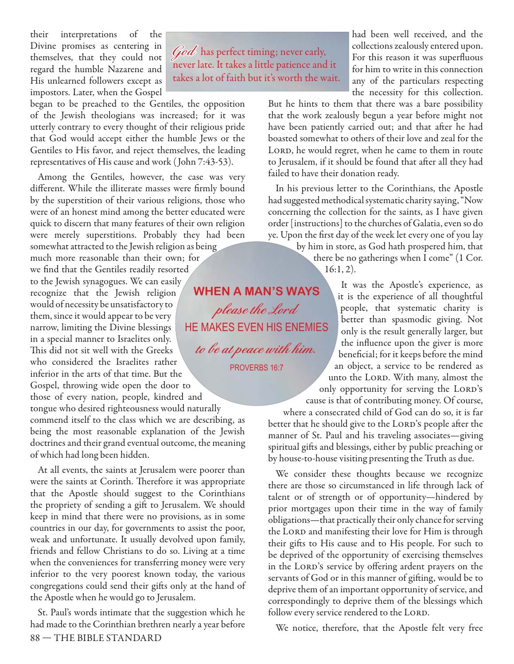their interpretations of the Divine promises as centering in themselves, that they could not regard the humble Nazarene and His unlearned followers except as impostors. Later, when the Gospel

began to be preached to the Gentiles, the opposition of the Jewish theologians was increased; for it was utterly contrary to every thought of their religious pride that God would accept either the humble Jews or the Gentiles to His favor, and reject themselves, the leading representatives of His cause and work ( John 7:43-53).

Among the Gentiles, however, the case was very different. While the illiterate masses were firmly bound by the superstition of their various religions, those who were of an honest mind among the better educated were quick to discern that many features of their own religion were merely superstitions. Probably they had been

somewhat attracted to the Jewish religion as being much more reasonable than their own; for we find that the Gentiles readily resorted to the Jewish synagogues. We can easily recognize that the Jewish religion would of necessity be unsatisfactory to them, since it would appear to be very narrow, limiting the Divine blessings in a special manner to Israelites only. This did not sit well with the Greeks who considered the Israelites rather inferior in the arts of that time. But the Gospel, throwing wide open the door to those of every nation, people, kindred and

tongue who desired righteousness would naturally commend itself to the class which we are describing, as being the most reasonable explanation of the Jewish doctrines and their grand eventual outcome, the meaning of which had long been hidden.

At all events, the saints at Jerusalem were poorer than were the saints at Corinth. Therefore it was appropriate that the Apostle should suggest to the Corinthians the propriety of sending a gift to Jerusalem. We should keep in mind that there were no provisions, as in some countries in our day, for governments to assist the poor, weak and unfortunate. It usually devolved upon family, friends and fellow Christians to do so. Living at a time when the conveniences for transferring money were very inferior to the very poorest known today, the various congregations could send their gifts only at the hand of the Apostle when he would go to Jerusalem.

88 — THE BIBLE STANDARD St. Paul's words intimate that the suggestion which he had made to the Corinthian brethren nearly a year before

**God** has perfect timing; never early, never late. It takes a little patience and it takes a lot of faith but it's worth the wait. had been well received, and the collections zealously entered upon. For this reason it was superfluous for him to write in this connection any of the particulars respecting the necessity for this collection.

But he hints to them that there was a bare possibility that the work zealously begun a year before might not have been patiently carried out; and that after he had boasted somewhat to others of their love and zeal for the LORD, he would regret, when he came to them in route to Jerusalem, if it should be found that after all they had failed to have their donation ready.

In his previous letter to the Corinthians, the Apostle had suggested methodical systematic charity saying, "Now concerning the collection for the saints, as I have given order [instructions] to the churches of Galatia, even so do ye. Upon the first day of the week let every one of you lay

> by him in store, as God hath prospered him, that there be no gatherings when I come" (1 Cor. 16:1, 2).

**WHEN A MAN'S WAYS please the Lord** HE MAKES EVEN HIS ENEMIES **to be at peace with him.**

PROVERBS 16:7

It was the Apostle's experience, as it is the experience of all thoughtful people, that systematic charity is better than spasmodic giving. Not only is the result generally larger, but the influence upon the giver is more beneficial; for it keeps before the mind an object, a service to be rendered as unto the LORD. With many, almost the only opportunity for serving the LORD's cause is that of contributing money. Of course,

where a consecrated child of God can do so, it is far

better that he should give to the LORD's people after the manner of St. Paul and his traveling associates—giving spiritual gifts and blessings, either by public preaching or by house-to-house visiting presenting the Truth as due.

We consider these thoughts because we recognize there are those so circumstanced in life through lack of talent or of strength or of opportunity—hindered by prior mortgages upon their time in the way of family obligations—that practically their only chance for serving the LORD and manifesting their love for Him is through their gifts to His cause and to His people. For such to be deprived of the opportunity of exercising themselves in the LORD's service by offering ardent prayers on the servants of God or in this manner of gifting, would be to deprive them of an important opportunity of service, and correspondingly to deprive them of the blessings which follow every service rendered to the LORD.

We notice, therefore, that the Apostle felt very free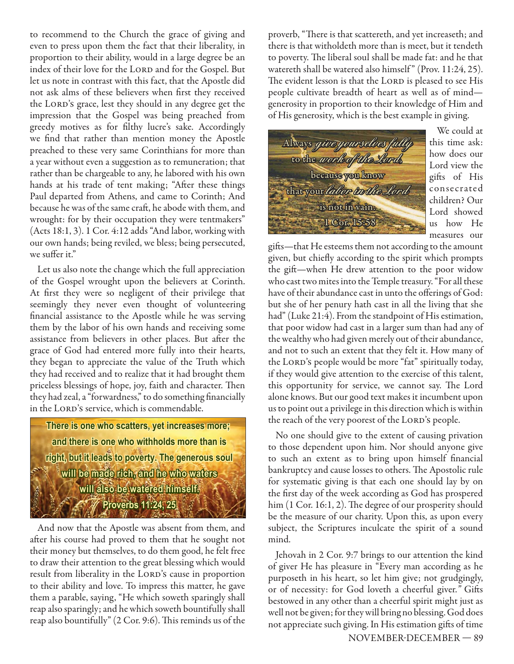to recommend to the Church the grace of giving and even to press upon them the fact that their liberality, in proportion to their ability, would in a large degree be an index of their love for the LORD and for the Gospel. But let us note in contrast with this fact, that the Apostle did not ask alms of these believers when first they received the LORD's grace, lest they should in any degree get the impression that the Gospel was being preached from greedy motives as for filthy lucre's sake. Accordingly we find that rather than mention money the Apostle preached to these very same Corinthians for more than a year without even a suggestion as to remuneration; that rather than be chargeable to any, he labored with his own hands at his trade of tent making; "After these things Paul departed from Athens, and came to Corinth; And because he was of the same craft, he abode with them, and wrought: for by their occupation they were tentmakers" (Acts 18:1, 3). 1 Cor. 4:12 adds "And labor, working with our own hands; being reviled, we bless; being persecuted, we suffer it."

Let us also note the change which the full appreciation of the Gospel wrought upon the believers at Corinth. At first they were so negligent of their privilege that seemingly they never even thought of volunteering financial assistance to the Apostle while he was serving them by the labor of his own hands and receiving some assistance from believers in other places. But after the grace of God had entered more fully into their hearts, they began to appreciate the value of the Truth which they had received and to realize that it had brought them priceless blessings of hope, joy, faith and character. Then they had zeal, a "forwardness," to do something financially in the LORD's service, which is commendable.

There is one who scatters, yet increases more; and there is one who withholds more than is right, but it leads to poverty. The generous soul will be made rich, and he who waters will also be watered himself. **Proverbs 11:24, 25** 

And now that the Apostle was absent from them, and after his course had proved to them that he sought not their money but themselves, to do them good, he felt free to draw their attention to the great blessing which would result from liberality in the LORD's cause in proportion to their ability and love. To impress this matter, he gave them a parable, saying, "He which soweth sparingly shall reap also sparingly; and he which soweth bountifully shall reap also bountifully" (2 Cor. 9:6). This reminds us of the

proverb, "There is that scattereth, and yet increaseth; and there is that witholdeth more than is meet, but it tendeth to poverty. The liberal soul shall be made fat: and he that watereth shall be watered also himself" (Prov. 11:24, 25). The evident lesson is that the LORD is pleased to see His people cultivate breadth of heart as well as of mind generosity in proportion to their knowledge of Him and of His generosity, which is the best example in giving.



We could at this time ask: how does our Lord view the gifts of His conse crate d children? Our Lord showed us how He measures our

gifts—that He esteems them not according to the amount given, but chiefly according to the spirit which prompts the gift-when He drew attention to the poor widow who cast two mites into the Temple treasury. "For all these have of their abundance cast in unto the offerings of God: but she of her penury hath cast in all the living that she had" (Luke 21:4). From the standpoint of His estimation, that poor widow had cast in a larger sum than had any of the wealthy who had given merely out of their abundance, and not to such an extent that they felt it. How many of the LORD's people would be more "fat" spiritually today, if they would give attention to the exercise of this talent, this opportunity for service, we cannot say. The Lord alone knows. But our good text makes it incumbent upon us to point out a privilege in this direction which is within the reach of the very poorest of the LORD's people.

No one should give to the extent of causing privation to those dependent upon him. Nor should anyone give to such an extent as to bring upon himself financial bankruptcy and cause losses to others. The Apostolic rule for systematic giving is that each one should lay by on the first day of the week according as God has prospered him  $(1 \text{ Cor. } 16:1, 2)$ . The degree of our prosperity should be the measure of our charity. Upon this, as upon every subject, the Scriptures inculcate the spirit of a sound mind.

Jehovah in 2 Cor. 9:7 brings to our attention the kind of giver He has pleasure in "Every man according as he purposeth in his heart, so let him give; not grudgingly, or of necessity: for God loveth a cheerful giver." Gifts bestowed in any other than a cheerful spirit might just as well not be given; for they will bring no blessing. God does not appreciate such giving. In His estimation gifts of time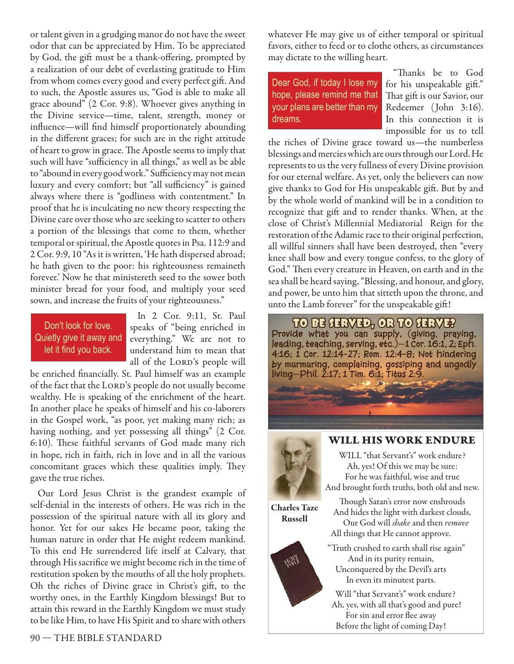or talent given in a grudging manor do not have the sweet odor that can be appreciated by Him. To be appreciated by God, the gift must be a thank-offering, prompted by a realization of our debt of everlasting gratitude to Him from whom comes every good and every perfect gift. And to such, the Apostle assures us, "God is able to make all grace abound" (2 Cor. 9:8). Whoever gives anything in the Divine service—time, talent, strength, money or influence—will find himself proportionately abounding in the different graces; for such are in the right attitude of heart to grow in grace. The Apostle seems to imply that such will have "sufficiency in all things," as well as be able to "abound in every good work." Sufficiency may not mean luxury and every comfort; but "all sufficiency" is gained always where there is "godliness with contentment." In proof that he is inculcating no new theory respecting the Divine care over those who are seeking to scatter to others a portion of the blessings that come to them, whether temporal or spiritual, the Apostle quotes in Psa. 112:9 and 2 Cor. 9:9, 10 "As it is written, 'He hath dispersed abroad; he hath given to the poor: his righteousness remaineth forever.' Now he that ministereth seed to the sower both minister bread for your food, and multiply your seed sown, and increase the fruits of your righteousness."

#### Don't look for love. Quietly give it away and let it find you back.

In 2 Cor. 9:11, St. Paul speaks of "being enriched in everything." We are not to understand him to mean that all of the LORD's people will

be enriched financially. St. Paul himself was an example of the fact that the LORD's people do not usually become wealthy. He is speaking of the enrichment of the heart. In another place he speaks of himself and his co-laborers in the Gospel work, "as poor, yet making many rich; as having nothing, and yet possessing all things" (2 Cor. 6:10). These faithful servants of God made many rich in hope, rich in faith, rich in love and in all the various concomitant graces which these qualities imply. They gave the true riches.

Our Lord Jesus Christ is the grandest example of self-denial in the interests of others. He was rich in the possession of the spiritual nature with all its glory and honor. Yet for our sakes He became poor, taking the human nature in order that He might redeem mankind. To this end He surrendered life itself at Calvary, that through His sacrifice we might become rich in the time of restitution spoken by the mouths of all the holy prophets. Oh the riches of Divine grace in Christ's gift, to the worthy ones, in the Earthly Kingdom blessings! But to attain this reward in the Earthly Kingdom we must study to be like Him, to have His Spirit and to share with others

whatever He may give us of either temporal or spiritual favors, either to feed or to clothe others, as circumstances may dictate to the willing heart.

Dear God, if today I lose my hope, please remind me that your plans are better than my dreams.

"Thanks be to God for his unspeakable gift." That gift is our Savior, our Redeemer ( John 3:16). In this connection it is impossible for us to tell

the riches of Divine grace toward us—the numberless blessings and mercies which are ours through our Lord. He represents to us the very fullness of every Divine provision for our eternal welfare. As yet, only the believers can now give thanks to God for His unspeakable gift. But by and by the whole world of mankind will be in a condition to recognize that gift and to render thanks. When, at the close of Christ's Millennial Mediatorial Reign for the restoration of the Adamic race to their original perfection, all willful sinners shall have been destroyed, then "every knee shall bow and every tongue confess, to the glory of God." Then every creature in Heaven, on earth and in the sea shall be heard saying, "Blessing, and honour, and glory, and power, be unto him that sitteth upon the throne, and unto the Lamb forever" for the unspeakable gift !





**WILL HIS WORK ENDURE** WILL "that Servant's" work endure?

Ah, yes! Of this we may be sure: For he was faithful, wise and true And brought forth truths, both old and new.

**Charles Taze Russell**

Though Satan's error now enshrouds And hides the light with darkest clouds, Our God will *shake* and then *remove*

 All things that He cannot approve. "Truth crushed to earth shall rise again" Helt And in its purity remain, Unconquered by the Devil's arts In even its minutest parts.

> Will "that Servant's" work endure? Ah, yes, with all that's good and pure! For sin and error flee away Before the light of coming Day!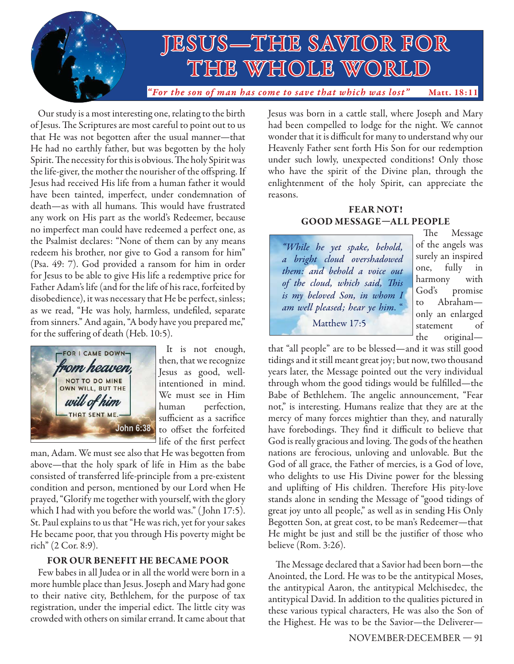

Our study is a most interesting one, relating to the birth of Jesus. The Scriptures are most careful to point out to us that He was not begotten after the usual manner-that He had no earthly father, but was begotten by the holy Spirit. The necessity for this is obvious. The holy Spirit was the life-giver, the mother the nourisher of the offspring. If Jesus had received His life from a human father it would have been tainted, imperfect, under condemnation of death—as with all humans. This would have frustrated any work on His part as the world's Redeemer, because no imperfect man could have redeemed a perfect one, as the Psalmist declares: "None of them can by any means redeem his brother, nor give to God a ransom for him" (Psa. 49: 7). God provided a ransom for him in order for Jesus to be able to give His life a redemptive price for Father Adam's life (and for the life of his race, forfeited by disobedience), it was necessary that He be perfect, sinless; as we read, "He was holy, harmless, undefiled, separate from sinners." And again, "A body have you prepared me," for the suffering of death (Heb. 10:5).



It is not enough, then, that we recognize Jesus as good, wellintentioned in mind. We must see in Him human perfection, sufficient as a sacrifice to offset the forfeited life of the first perfect

man, Adam. We must see also that He was begotten from above—that the holy spark of life in Him as the babe consisted of transferred life-principle from a pre-existent condition and person, mentioned by our Lord when He prayed, "Glorify me together with yourself, with the glory which I had with you before the world was." ( John 17:5). St. Paul explains to us that "He was rich, yet for your sakes He became poor, that you through His poverty might be rich" (2 Cor. 8:9).

#### **FOR OUR BENEFIT HE BECAME POOR**

Few babes in all Judea or in all the world were born in a more humble place than Jesus. Joseph and Mary had gone to their native city, Bethlehem, for the purpose of tax registration, under the imperial edict. The little city was crowded with others on similar errand. It came about that Jesus was born in a cattle stall, where Joseph and Mary had been compelled to lodge for the night. We cannot wonder that it is difficult for many to understand why our Heavenly Father sent forth His Son for our redemption under such lowly, unexpected conditions! Only those who have the spirit of the Divine plan, through the enlightenment of the holy Spirit, can appreciate the reasons.

#### **FEAR NOT! GOOD MESSAGE—ALL PEOPLE**

"While he yet spake, behold, a bright cloud overshadowed them: and behold a voice out of the cloud, which said, This is my beloved Son, in whom I am well pleased; hear ye him. " Matthew 17:5

The Message of the angels was surely an inspired one, fully in harmony with God's promise Abraham only an enlarged statement of the original—

that "all people" are to be blessed—and it was still good tidings and it still meant great joy; but now, two thousand years later, the Message pointed out the very individual through whom the good tidings would be fulfilled—the Babe of Bethlehem. The angelic announcement, "Fear not," is interesting. Humans realize that they are at the mercy of many forces mightier than they, and naturally have forebodings. They find it difficult to believe that God is really gracious and loving. The gods of the heathen nations are ferocious, unloving and unlovable. But the God of all grace, the Father of mercies, is a God of love, who delights to use His Divine power for the blessing and uplifting of His children. Therefore His pity-love stands alone in sending the Message of "good tidings of great joy unto all people," as well as in sending His Only Begotten Son, at great cost, to be man's Redeemer—that He might be just and still be the justifier of those who believe (Rom. 3:26).

The Message declared that a Savior had been born—the Anointed, the Lord. He was to be the antitypical Moses, the antitypical Aaron, the antitypical Melchisedec, the antitypical David. In addition to the qualities pictured in these various typical characters, He was also the Son of the Highest. He was to be the Savior—the Deliverer—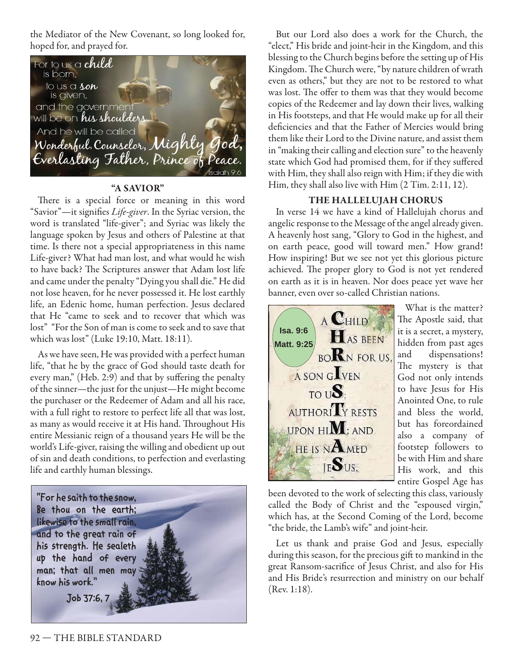the Mediator of the New Covenant, so long looked for, hoped for, and prayed for.



#### **"A SAVIOR"**

There is a special force or meaning in this word "Savior"—it signifies *Life-giver*. In the Syriac version, the word is translated "life-giver"; and Syriac was likely the language spoken by Jesus and others of Palestine at that time. Is there not a special appropriateness in this name Life-giver? What had man lost, and what would he wish to have back? The Scriptures answer that Adam lost life and came under the penalty "Dying you shall die." He did not lose heaven, for he never possessed it. He lost earthly life, an Edenic home, human perfection. Jesus declared that He "came to seek and to recover that which was lost" "For the Son of man is come to seek and to save that which was lost" (Luke 19:10, Matt. 18:11).

As we have seen, He was provided with a perfect human life, "that he by the grace of God should taste death for every man," (Heb. 2:9) and that by suffering the penalty of the sinner—the just for the unjust—He might become the purchaser or the Redeemer of Adam and all his race, with a full right to restore to perfect life all that was lost, as many as would receive it at His hand. Throughout His entire Messianic reign of a thousand years He will be the world's Life-giver, raising the willing and obedient up out of sin and death conditions, to perfection and everlasting life and earthly human blessings.



But our Lord also does a work for the Church, the "elect," His bride and joint-heir in the Kingdom, and this blessing to the Church begins before the setting up of His Kingdom. The Church were, "by nature children of wrath even as others," but they are not to be restored to what was lost. The offer to them was that they would become copies of the Redeemer and lay down their lives, walking in His footsteps, and that He would make up for all their deficiencies and that the Father of Mercies would bring them like their Lord to the Divine nature, and assist them in "making their calling and election sure" to the heavenly state which God had promised them, for if they suffered with Him, they shall also reign with Him; if they die with Him, they shall also live with Him (2 Tim. 2:11, 12).

#### **THE HALLELUJAH CHORUS**

In verse 14 we have a kind of Hallelujah chorus and angelic response to the Message of the angel already given. A heavenly host sang, "Glory to God in the highest, and on earth peace, good will toward men." How grand! How inspiring! But we see not yet this glorious picture achieved. The proper glory to God is not yet rendered on earth as it is in heaven. Nor does peace yet wave her banner, even over so-called Christian nations.



What is the matter? The Apostle said, that it is a secret, a mystery, hidden from past ages and dispensations! The mystery is that God not only intends to have Jesus for His Anointed One, to rule and bless the world, but has foreordained also a company of footstep followers to be with Him and share His work, and this entire Gospel Age has

been devoted to the work of selecting this class, variously called the Body of Christ and the "espoused virgin," which has, at the Second Coming of the Lord, become "the bride, the Lamb's wife" and joint-heir.

Let us thank and praise God and Jesus, especially during this season, for the precious gift to mankind in the great Ransom-sacrifice of Jesus Christ, and also for His and His Bride's resurrection and ministry on our behalf (Rev. 1:18).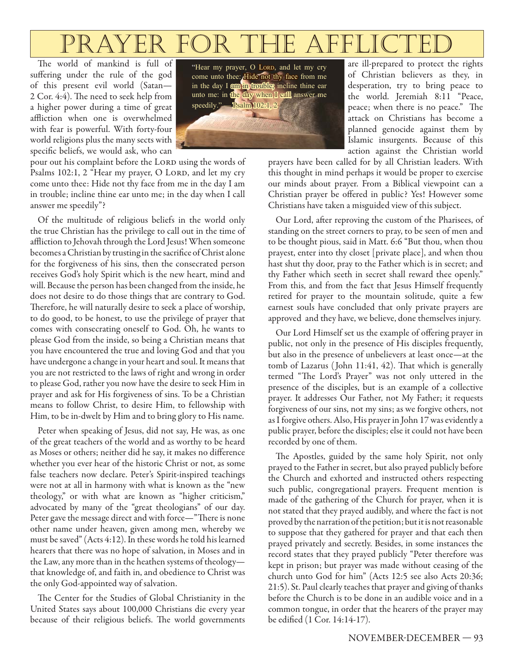# PRAYER FOR THE AFFL

The world of mankind is full of suffering under the rule of the god of this present evil world (Satan— 2 Cor. 4:4). The need to seek help from a higher power during a time of great affliction when one is overwhelmed with fear is powerful. With forty-four world religions plus the many sects with specific beliefs, we would ask, who can

pour out his complaint before the LORD using the words of Psalms 102:1, 2 "Hear my prayer, O LORD, and let my cry come unto thee: Hide not thy face from me in the day I am in trouble; incline thine ear unto me; in the day when I call answer me speedily"?

Of the multitude of religious beliefs in the world only the true Christian has the privilege to call out in the time of affliction to Jehovah through the Lord Jesus! When someone becomes a Christian by trusting in the sacrifice of Christ alone for the forgiveness of his sins, then the consecrated person receives God's holy Spirit which is the new heart, mind and will. Because the person has been changed from the inside, he does not desire to do those things that are contrary to God. Therefore, he will naturally desire to seek a place of worship, to do good, to be honest, to use the privilege of prayer that comes with consecrating oneself to God. Oh, he wants to please God from the inside, so being a Christian means that you have encountered the true and loving God and that you have undergone a change in your heart and soul. It means that you are not restricted to the laws of right and wrong in order to please God, rather you now have the desire to seek Him in prayer and ask for His forgiveness of sins. To be a Christian means to follow Christ, to desire Him, to fellowship with Him, to be in-dwelt by Him and to bring glory to His name.

Peter when speaking of Jesus, did not say, He was, as one of the great teachers of the world and as worthy to be heard as Moses or others; neither did he say, it makes no difference whether you ever hear of the historic Christ or not, as some false teachers now declare. Peter's Spirit-inspired teachings were not at all in harmony with what is known as the "new theology," or with what are known as "higher criticism," advocated by many of the "great theologians" of our day. Peter gave the message direct and with force—"There is none other name under heaven, given among men, whereby we must be saved" (Acts 4:12). In these words he told his learned hearers that there was no hope of salvation, in Moses and in the Law, any more than in the heathen systems of theology that knowledge of, and faith in, and obedience to Christ was the only God-appointed way of salvation.

The Center for the Studies of Global Christianity in the United States says about 100,000 Christians die every year because of their religious beliefs. The world governments

"Hear my prayer, O LORD, and let my cry come unto thee:  $H$ ide not thy face from me in the day I am in trouble; incline thine ear unto me: in the day when I call answer me speedily."  $-\frac{\text{Psalm }102:1, 2}{\text{Psalm }102:1, 2}$ 



are ill-prepared to protect the rights of Christian believers as they, in desperation, try to bring peace to the world. Jeremiah 8:11 "Peace, peace; when there is no peace." The attack on Christians has become a planned genocide against them by Islamic insurgents. Because of this action against the Christian world

prayers have been called for by all Christian leaders. With this thought in mind perhaps it would be proper to exercise our minds about prayer. From a Biblical viewpoint can a Christian prayer be offered in public? Yes! However some Christians have taken a misguided view of this subject.

Our Lord, after reproving the custom of the Pharisees, of standing on the street corners to pray, to be seen of men and to be thought pious, said in Matt. 6:6 "But thou, when thou prayest, enter into thy closet [private place], and when thou hast shut thy door, pray to the Father which is in secret; and thy Father which seeth in secret shall reward thee openly." From this, and from the fact that Jesus Himself frequently retired for prayer to the mountain solitude, quite a few earnest souls have concluded that only private prayers are approved and they have, we believe, done themselves injury.

Our Lord Himself set us the example of offering prayer in public, not only in the presence of His disciples frequently, but also in the presence of unbelievers at least once—at the tomb of Lazarus (John 11:41, 42). That which is generally termed "The Lord's Prayer" was not only uttered in the presence of the disciples, but is an example of a collective prayer. It addresses Our Father, not My Father; it requests forgiveness of our sins, not my sins; as we forgive others, not as I forgive others. Also, His prayer in John 17 was evidently a public prayer, before the disciples; else it could not have been recorded by one of them.

The Apostles, guided by the same holy Spirit, not only prayed to the Father in secret, but also prayed publicly before the Church and exhorted and instructed others respecting such public, congregational prayers. Frequent mention is made of the gathering of the Church for prayer, when it is not stated that they prayed audibly, and where the fact is not proved by the narration of the petition; but it is not reasonable to suppose that they gathered for prayer and that each then prayed privately and secretly. Besides, in some instances the record states that they prayed publicly "Peter therefore was kept in prison; but prayer was made without ceasing of the church unto God for him" (Acts 12:5 see also Acts 20:36; 21:5). St. Paul clearly teaches that prayer and giving of thanks before the Church is to be done in an audible voice and in a common tongue, in order that the hearers of the prayer may be edified (1 Cor. 14:14-17).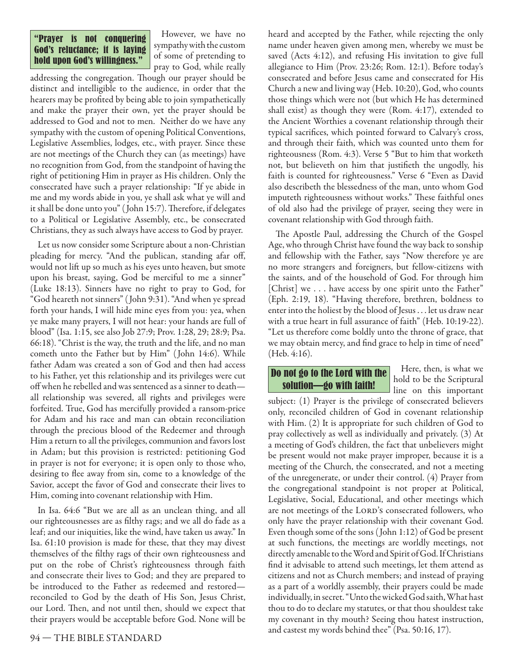#### "Prayer is not conquering God's reluctance; it is laying hold upon God's willingness."

However, we have no sympathy with the custom of some of pretending to pray to God, while really

addressing the congregation. Though our prayer should be distinct and intelligible to the audience, in order that the hearers may be profited by being able to join sympathetically and make the prayer their own, yet the prayer should be addressed to God and not to men. Neither do we have any sympathy with the custom of opening Political Conventions, Legislative Assemblies, lodges, etc., with prayer. Since these are not meetings of the Church they can (as meetings) have no recognition from God, from the standpoint of having the right of petitioning Him in prayer as His children. Only the consecrated have such a prayer relationship: "If ye abide in me and my words abide in you, ye shall ask what ye will and it shall be done unto you" (John 15:7). Therefore, if delegates to a Political or Legislative Assembly, etc., be consecrated Christians, they as such always have access to God by prayer.

Let us now consider some Scripture about a non-Christian pleading for mercy. "And the publican, standing afar off, would not lift up so much as his eyes unto heaven, but smote upon his breast, saying, God be merciful to me a sinner" (Luke 18:13). Sinners have no right to pray to God, for "God heareth not sinners" ( John 9:31). "And when ye spread forth your hands, I will hide mine eyes from you: yea, when ye make many prayers, I will not hear: your hands are full of blood" (Isa. 1:15, see also Job 27:9; Prov. 1:28, 29; 28:9; Psa. 66:18). "Christ is the way, the truth and the life, and no man cometh unto the Father but by Him" ( John 14:6). While father Adam was created a son of God and then had access to his Father, yet this relationship and its privileges were cut off when he rebelled and was sentenced as a sinner to death all relationship was severed, all rights and privileges were forfeited. True, God has mercifully provided a ransom-price for Adam and his race and man can obtain reconciliation through the precious blood of the Redeemer and through Him a return to all the privileges, communion and favors lost in Adam; but this provision is restricted: petitioning God in prayer is not for everyone; it is open only to those who, desiring to flee away from sin, come to a knowledge of the Savior, accept the favor of God and consecrate their lives to Him, coming into covenant relationship with Him.

In Isa. 64:6 "But we are all as an unclean thing, and all our righteousnesses are as filthy rags; and we all do fade as a leaf; and our iniquities, like the wind, have taken us away." In Isa. 61:10 provision is made for these, that they may divest themselves of the filthy rags of their own righteousness and put on the robe of Christ's righteousness through faith and consecrate their lives to God; and they are prepared to be introduced to the Father as redeemed and restored reconciled to God by the death of His Son, Jesus Christ, our Lord. Then, and not until then, should we expect that their prayers would be acceptable before God. None will be

name under heaven given among men, whereby we must be saved (Acts 4:12), and refusing His invitation to give full allegiance to Him (Prov. 23:26; Rom. 12:1). Before today's consecrated and before Jesus came and consecrated for His Church a new and living way (Heb. 10:20), God, who counts those things which were not (but which He has determined shall exist) as though they were (Rom. 4:17), extended to the Ancient Worthies a covenant relationship through their typical sacrifices, which pointed forward to Calvary's cross, and through their faith, which was counted unto them for righteousness (Rom. 4:3). Verse 5 "But to him that worketh not, but believeth on him that justifieth the ungodly, his faith is counted for righteousness." Verse 6 "Even as David also describeth the blessedness of the man, unto whom God imputeth righteousness without works." These faithful ones of old also had the privilege of prayer, seeing they were in covenant relationship with God through faith.

heard and accepted by the Father, while rejecting the only

The Apostle Paul, addressing the Church of the Gospel Age, who through Christ have found the way back to sonship and fellowship with the Father, says "Now therefore ye are no more strangers and foreigners, but fellow-citizens with the saints, and of the household of God. For through him [Christ] we . . . have access by one spirit unto the Father" (Eph. 2:19, 18). "Having therefore, brethren, boldness to enter into the holiest by the blood of Jesus . . . let us draw near with a true heart in full assurance of faith" (Heb. 10:19-22). "Let us therefore come boldly unto the throne of grace, that we may obtain mercy, and find grace to help in time of need" (Heb. 4:16).

Do not go to the Lord with the solution—go with faith!

Here, then, is what we hold to be the Scriptural line on this important

subject: (1) Prayer is the privilege of consecrated believers only, reconciled children of God in covenant relationship with Him. (2) It is appropriate for such children of God to pray collectively as well as individually and privately. (3) At a meeting of God's children, the fact that unbelievers might be present would not make prayer improper, because it is a meeting of the Church, the consecrated, and not a meeting of the unregenerate, or under their control. (4) Prayer from the congregational standpoint is not proper at Political, Legislative, Social, Educational, and other meetings which are not meetings of the LORD's consecrated followers, who only have the prayer relationship with their covenant God. Even though some of the sons ( John 1:12) of God be present at such functions, the meetings are worldly meetings, not directly amenable to the Word and Spirit of God. If Christians find it advisable to attend such meetings, let them attend as citizens and not as Church members; and instead of praying as a part of a worldly assembly, their prayers could be made individually, in secret. "Unto the wicked God saith, What hast thou to do to declare my statutes, or that thou shouldest take my covenant in thy mouth? Seeing thou hatest instruction, and castest my words behind thee" (Psa. 50:16, 17).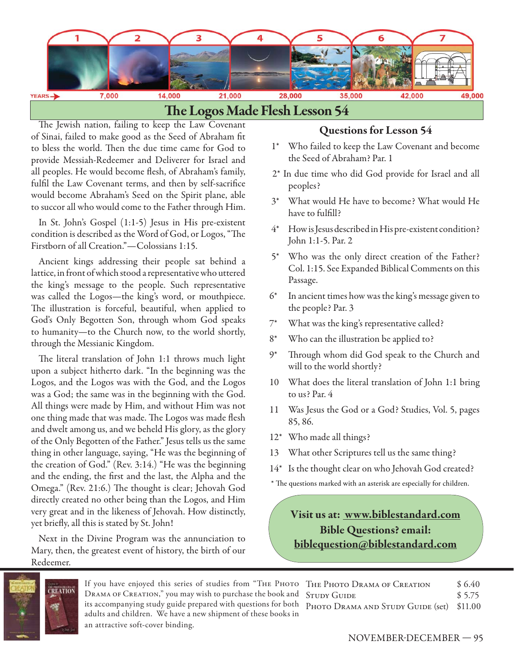

The Jewish nation, failing to keep the Law Covenant of Sinai, failed to make good as the Seed of Abraham fit to bless the world. Then the due time came for God to provide Messiah-Redeemer and Deliverer for Israel and all peoples. He would become flesh, of Abraham's family, fulfil the Law Covenant terms, and then by self-sacrifice would become Abraham's Seed on the Spirit plane, able to succor all who would come to the Father through Him.

In St. John's Gospel (1:1-5) Jesus in His pre-existent condition is described as the Word of God, or Logos, "The Firstborn of all Creation."—Colossians 1:15.

Ancient kings addressing their people sat behind a lattice, in front of which stood a representative who uttered the king's message to the people. Such representative was called the Logos—the king's word, or mouthpiece. The illustration is forceful, beautiful, when applied to God's Only Begotten Son, through whom God speaks to humanity—to the Church now, to the world shortly, through the Messianic Kingdom.

The literal translation of John 1:1 throws much light upon a subject hitherto dark. "In the beginning was the Logos, and the Logos was with the God, and the Logos was a God; the same was in the beginning with the God. All things were made by Him, and without Him was not one thing made that was made. The Logos was made flesh and dwelt among us, and we beheld His glory, as the glory of the Only Begotten of the Father." Jesus tells us the same thing in other language, saying, "He was the beginning of the creation of God." (Rev. 3:14.) "He was the beginning and the ending, the first and the last, the Alpha and the Omega." (Rev. 21:6.) The thought is clear; Jehovah God directly created no other being than the Logos, and Him very great and in the likeness of Jehovah. How distinctly, yet briefly, all this is stated by St. John!

Next in the Divine Program was the annunciation to Mary, then, the greatest event of history, the birth of our Redeemer.

#### **Questions for Lesson 54**

- 1\* Who failed to keep the Law Covenant and become the Seed of Abraham? Par. 1
- 2\* In due time who did God provide for Israel and all peoples?
- 3\* What would He have to become? What would He have to fulfill?
- 4\* How is Jesus described in His pre-existent condition? John 1:1-5. Par. 2
- 5\* Who was the only direct creation of the Father? Col. 1:15. See Expanded Biblical Comments on this Passage.
- 6\* In ancient times how was the king's message given to the people? Par. 3
- 7\* What was the king's representative called?
- 8\* Who can the illustration be applied to?
- 9\* Through whom did God speak to the Church and will to the world shortly?
- 10 What does the literal translation of John 1:1 bring to us? Par. 4
- 11 Was Jesus the God or a God? Studies, Vol. 5, pages 85, 86.
- 12\* Who made all things?
- 13 What other Scriptures tell us the same thing?
- 14\* Is the thought clear on who Jehovah God created?
- \* The questions marked with an asterisk are especially for children.

**Visit us at: www.biblestandard.com Bible Questions? email: biblequestion@biblestandard.com**



If you have enjoyed this series of studies from "THE PH DRAMA OF CREATION," you may wish to purchase the bool its accompanying study guide prepared with questions for adults and children. We have a new shipment of these books in an attractive soft-cover binding.

|             | HOTO THE PHOTO DRAMA OF CREATION               | \$6.40 |
|-------------|------------------------------------------------|--------|
|             | k and STUDY GUIDE                              | \$5.75 |
| المدف مامال | both PHOTO DRAMA AND STUDY GUIDE (set) \$11.00 |        |